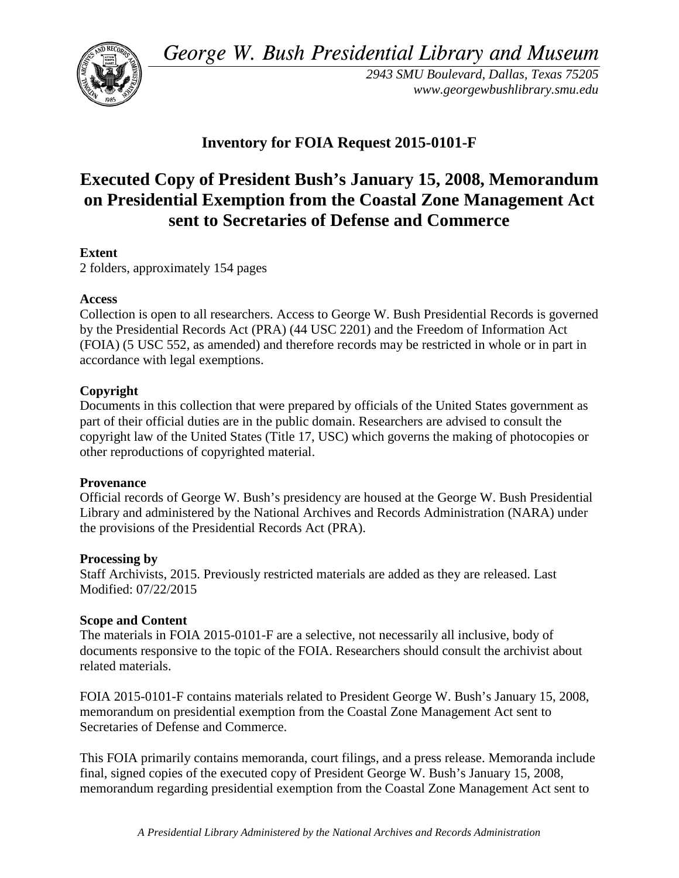*George W. Bush Presidential Library and Museum* 



*2943 SMU Boulevard, Dallas, Texas 75205 <www.georgewbushlibrary.smu.edu>*

# **Inventory for FOIA Request 2015-0101-F**

# **Executed Copy of President Bush's January 15, 2008, Memorandum on Presidential Exemption from the Coastal Zone Management Act sent to Secretaries of Defense and Commerce**

## **Extent**

2 folders, approximately 154 pages

#### **Access**

 by the Presidential Records Act (PRA) (44 USC 2201) and the Freedom of Information Act Collection is open to all researchers. Access to George W. Bush Presidential Records is governed (FOIA) (5 USC 552, as amended) and therefore records may be restricted in whole or in part in accordance with legal exemptions.

## **Copyright**

 Documents in this collection that were prepared by officials of the United States government as part of their official duties are in the public domain. Researchers are advised to consult the copyright law of the United States (Title 17, USC) which governs the making of photocopies or other reproductions of copyrighted material.

#### **Provenance**

 Official records of George W. Bush's presidency are housed at the George W. Bush Presidential Library and administered by the National Archives and Records Administration (NARA) under the provisions of the Presidential Records Act (PRA).

#### **Processing by**

Staff Archivists, 2015. Previously restricted materials are added as they are released. Last Modified: 07/22/2015

#### **Scope and Content**

The materials in FOIA 2015-0101-F are a selective, not necessarily all inclusive, body of documents responsive to the topic of the FOIA. Researchers should consult the archivist about related materials.

FOIA 2015-0101-F contains materials related to President George W. Bush's January 15, 2008, memorandum on presidential exemption from the Coastal Zone Management Act sent to Secretaries of Defense and Commerce.

This FOIA primarily contains memoranda, court filings, and a press release. Memoranda include final, signed copies of the executed copy of President George W. Bush's January 15, 2008, memorandum regarding presidential exemption from the Coastal Zone Management Act sent to